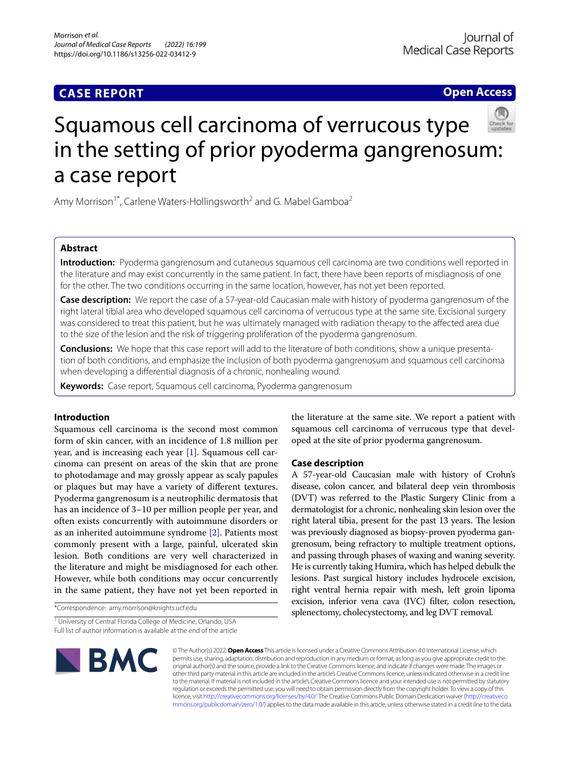## **CASE REPORT**

**Open Access**

# Squamous cell carcinoma of verrucous type in the setting of prior pyoderma gangrenosum: a case report

Amy Morrison<sup>1\*</sup>, Carlene Waters-Hollingsworth<sup>2</sup> and G. Mabel Gamboa<sup>2</sup>

## **Abstract**

**Introduction:** Pyoderma gangrenosum and cutaneous squamous cell carcinoma are two conditions well reported in the literature and may exist concurrently in the same patient. In fact, there have been reports of misdiagnosis of one for the other. The two conditions occurring in the same location, however, has not yet been reported.

**Case description:** We report the case of a 57-year-old Caucasian male with history of pyoderma gangrenosum of the right lateral tibial area who developed squamous cell carcinoma of verrucous type at the same site. Excisional surgery was considered to treat this patient, but he was ultimately managed with radiation therapy to the afected area due to the size of the lesion and the risk of triggering proliferation of the pyoderma gangrenosum.

**Conclusions:** We hope that this case report will add to the literature of both conditions, show a unique presentation of both conditions, and emphasize the inclusion of both pyoderma gangrenosum and squamous cell carcinoma when developing a diferential diagnosis of a chronic, nonhealing wound.

**Keywords:** Case report, Squamous cell carcinoma, Pyoderma gangrenosum

## **Introduction**

Squamous cell carcinoma is the second most common form of skin cancer, with an incidence of 1.8 million per year, and is increasing each year [[1\]](#page-3-0). Squamous cell carcinoma can present on areas of the skin that are prone to photodamage and may grossly appear as scaly papules or plaques but may have a variety of diferent textures. Pyoderma gangrenosum is a neutrophilic dermatosis that has an incidence of 3–10 per million people per year, and often exists concurrently with autoimmune disorders or as an inherited autoimmune syndrome [[2\]](#page-3-1). Patients most commonly present with a large, painful, ulcerated skin lesion. Both conditions are very well characterized in the literature and might be misdiagnosed for each other. However, while both conditions may occur concurrently in the same patient, they have not yet been reported in

\*Correspondence: amy.morrison@knights.ucf.edu

<sup>1</sup> University of Central Florida College of Medicine, Orlando, USA Full list of author information is available at the end of the article



the literature at the same site. We report a patient with squamous cell carcinoma of verrucous type that developed at the site of prior pyoderma gangrenosum.

## **Case description**

A 57-year-old Caucasian male with history of Crohn's disease, colon cancer, and bilateral deep vein thrombosis (DVT) was referred to the Plastic Surgery Clinic from a dermatologist for a chronic, nonhealing skin lesion over the right lateral tibia, present for the past 13 years. The lesion was previously diagnosed as biopsy-proven pyoderma gangrenosum, being refractory to multiple treatment options, and passing through phases of waxing and waning severity. He is currently taking Humira, which has helped debulk the lesions. Past surgical history includes hydrocele excision, right ventral hernia repair with mesh, left groin lipoma excision, inferior vena cava (IVC) flter, colon resection, splenectomy, cholecystectomy, and leg DVT removal.

© The Author(s) 2022. **Open Access** This article is licensed under a Creative Commons Attribution 4.0 International License, which permits use, sharing, adaptation, distribution and reproduction in any medium or format, as long as you give appropriate credit to the original author(s) and the source, provide a link to the Creative Commons licence, and indicate if changes were made. The images or other third party material in this article are included in the article's Creative Commons licence, unless indicated otherwise in a credit line to the material. If material is not included in the article's Creative Commons licence and your intended use is not permitted by statutory regulation or exceeds the permitted use, you will need to obtain permission directly from the copyright holder. To view a copy of this licence, visit [http://creativecommons.org/licenses/by/4.0/.](http://creativecommons.org/licenses/by/4.0/) The Creative Commons Public Domain Dedication waiver ([http://creativeco](http://creativecommons.org/publicdomain/zero/1.0/) [mmons.org/publicdomain/zero/1.0/](http://creativecommons.org/publicdomain/zero/1.0/)) applies to the data made available in this article, unless otherwise stated in a credit line to the data.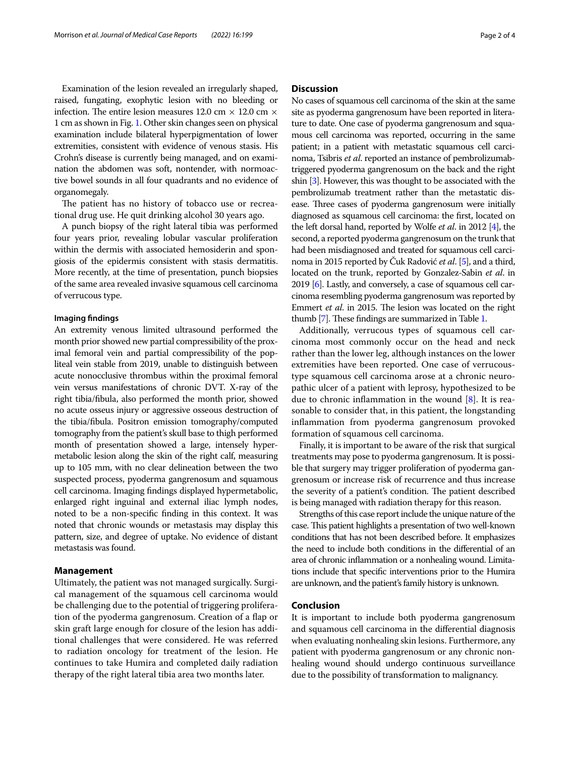Examination of the lesion revealed an irregularly shaped, raised, fungating, exophytic lesion with no bleeding or infection. The entire lesion measures 12.0 cm  $\times$  12.0 cm  $\times$ 1 cm as shown in Fig. [1](#page-2-0). Other skin changes seen on physical examination include bilateral hyperpigmentation of lower extremities, consistent with evidence of venous stasis. His Crohn's disease is currently being managed, and on examination the abdomen was soft, nontender, with normoactive bowel sounds in all four quadrants and no evidence of organomegaly.

The patient has no history of tobacco use or recreational drug use. He quit drinking alcohol 30 years ago.

A punch biopsy of the right lateral tibia was performed four years prior, revealing lobular vascular proliferation within the dermis with associated hemosiderin and spongiosis of the epidermis consistent with stasis dermatitis. More recently, at the time of presentation, punch biopsies of the same area revealed invasive squamous cell carcinoma of verrucous type.

#### **Imaging fndings**

An extremity venous limited ultrasound performed the month prior showed new partial compressibility of the proximal femoral vein and partial compressibility of the popliteal vein stable from 2019, unable to distinguish between acute nonocclusive thrombus within the proximal femoral vein versus manifestations of chronic DVT. X-ray of the right tibia/fbula, also performed the month prior, showed no acute osseus injury or aggressive osseous destruction of the tibia/fbula. Positron emission tomography/computed tomography from the patient's skull base to thigh performed month of presentation showed a large, intensely hypermetabolic lesion along the skin of the right calf, measuring up to 105 mm, with no clear delineation between the two suspected process, pyoderma gangrenosum and squamous cell carcinoma. Imaging fndings displayed hypermetabolic, enlarged right inguinal and external iliac lymph nodes, noted to be a non-specifc fnding in this context. It was noted that chronic wounds or metastasis may display this pattern, size, and degree of uptake. No evidence of distant metastasis was found.

#### **Management**

Ultimately, the patient was not managed surgically. Surgical management of the squamous cell carcinoma would be challenging due to the potential of triggering proliferation of the pyoderma gangrenosum. Creation of a fap or skin graft large enough for closure of the lesion has additional challenges that were considered. He was referred to radiation oncology for treatment of the lesion. He continues to take Humira and completed daily radiation therapy of the right lateral tibia area two months later.

#### **Discussion**

No cases of squamous cell carcinoma of the skin at the same site as pyoderma gangrenosum have been reported in literature to date. One case of pyoderma gangrenosum and squamous cell carcinoma was reported, occurring in the same patient; in a patient with metastatic squamous cell carcinoma, Tsibris *et al*. reported an instance of pembrolizumabtriggered pyoderma gangrenosum on the back and the right shin [\[3\]](#page-3-2). However, this was thought to be associated with the pembrolizumab treatment rather than the metastatic disease. Three cases of pyoderma gangrenosum were initially diagnosed as squamous cell carcinoma: the frst, located on the left dorsal hand, reported by Wolfe *et al*. in 2012 [\[4\]](#page-3-3), the second, a reported pyoderma gangrenosum on the trunk that had been misdiagnosed and treated for squamous cell carcinoma in 2015 reported by Čuk Radović *et al*. [\[5](#page-3-4)], and a third, located on the trunk, reported by Gonzalez-Sabin *et al*. in 2019 [\[6\]](#page-3-5). Lastly, and conversely, a case of squamous cell carcinoma resembling pyoderma gangrenosum was reported by Emmert *et al.* in 2015. The lesion was located on the right thumb [[7](#page-3-6)]. These findings are summarized in Table [1](#page-2-1).

Additionally, verrucous types of squamous cell carcinoma most commonly occur on the head and neck rather than the lower leg, although instances on the lower extremities have been reported. One case of verrucoustype squamous cell carcinoma arose at a chronic neuropathic ulcer of a patient with leprosy, hypothesized to be due to chronic inflammation in the wound  $[8]$  $[8]$  $[8]$ . It is reasonable to consider that, in this patient, the longstanding infammation from pyoderma gangrenosum provoked formation of squamous cell carcinoma.

Finally, it is important to be aware of the risk that surgical treatments may pose to pyoderma gangrenosum. It is possible that surgery may trigger proliferation of pyoderma gangrenosum or increase risk of recurrence and thus increase the severity of a patient's condition. The patient described is being managed with radiation therapy for this reason.

Strengths of this case report include the unique nature of the case. This patient highlights a presentation of two well-known conditions that has not been described before. It emphasizes the need to include both conditions in the diferential of an area of chronic infammation or a nonhealing wound. Limitations include that specifc interventions prior to the Humira are unknown, and the patient's family history is unknown.

#### **Conclusion**

It is important to include both pyoderma gangrenosum and squamous cell carcinoma in the diferential diagnosis when evaluating nonhealing skin lesions. Furthermore, any patient with pyoderma gangrenosum or any chronic nonhealing wound should undergo continuous surveillance due to the possibility of transformation to malignancy.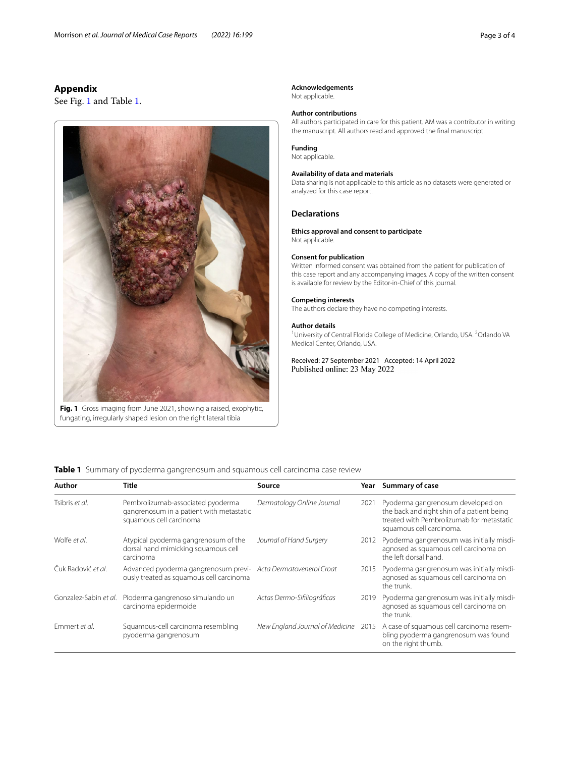## **Appendix**

See Fig. [1](#page-2-0) and Table [1.](#page-2-1)



<span id="page-2-0"></span>**Fig. 1** Gross imaging from June 2021, showing a raised, exophytic, fungating, irregularly shaped lesion on the right lateral tibia

#### **Acknowledgements**

Not applicable.

## **Author contributions**

All authors participated in care for this patient. AM was a contributor in writing the manuscript. All authors read and approved the fnal manuscript.

## **Funding**

Not applicable.

### **Availability of data and materials**

Data sharing is not applicable to this article as no datasets were generated or analyzed for this case report.

#### **Declarations**

#### **Ethics approval and consent to participate** Not applicable.

## **Consent for publication**

Written informed consent was obtained from the patient for publication of this case report and any accompanying images. A copy of the written consent is available for review by the Editor-in-Chief of this journal.

#### **Competing interests**

The authors declare they have no competing interests.

#### **Author details**

<sup>1</sup> University of Central Florida College of Medicine, Orlando, USA. <sup>2</sup> Orlando VA Medical Center, Orlando, USA.

Received: 27 September 2021 Accepted: 14 April 2022

<span id="page-2-1"></span>**Table 1** Summary of pyoderma gangrenosum and squamous cell carcinoma case review

| Author                | Title                                                                                                      | Source                               |      | Year Summary of case                                                                                                                                     |
|-----------------------|------------------------------------------------------------------------------------------------------------|--------------------------------------|------|----------------------------------------------------------------------------------------------------------------------------------------------------------|
| Tsibris et al.        | Pembrolizumab-associated pyoderma<br>gangrenosum in a patient with metastatic<br>squamous cell carcinoma   | Dermatology Online Journal           | 2021 | Pyoderma gangrenosum developed on<br>the back and right shin of a patient being<br>treated with Pembrolizumab for metastatic<br>squamous cell carcinoma. |
| Wolfe et al.          | Atypical pyoderma gangrenosum of the<br>dorsal hand mimicking squamous cell<br>carcinoma                   | Journal of Hand Surgery              | 2012 | Pyoderma gangrenosum was initially misdi-<br>agnosed as squamous cell carcinoma on<br>the left dorsal hand.                                              |
| Čuk Radović et al.    | Advanced pyoderma gangrenosum previ- Acta Dermatovenerol Croat<br>ously treated as squamous cell carcinoma |                                      | 2015 | Pyoderma gangrenosum was initially misdi-<br>agnosed as squamous cell carcinoma on<br>the trunk.                                                         |
| Gonzalez-Sabin et al. | Pioderma gangrenoso simulando un<br>carcinoma epidermoide                                                  | Actas Dermo-Sifiliográficas          | 2019 | Pyoderma gangrenosum was initially misdi-<br>agnosed as squamous cell carcinoma on<br>the trunk.                                                         |
| Emmert et al.         | Squamous-cell carcinoma resembling<br>pyoderma gangrenosum                                                 | New England Journal of Medicine 2015 |      | A case of squamous cell carcinoma resem-<br>bling pyoderma gangrenosum was found<br>on the right thumb.                                                  |